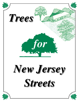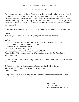### **TREES FOR NEW JERSEY STREETS**

#### Sixth Revision 2016

This sixth revision combines the professional expertise and creative minds of many talented individuals. Certainly the previous editions originating with the first publication in 1961 have had many nameless contributors as well. The individuals named below and those who have contributed to this publication in the past have volunteered their time and knowledge and shared their talents with us. For that, the Executive Board of the NJ Shade Tree Federation and I will be forever grateful.

I acknowledge with immense gratitude the contributions made by the following individuals:

#### **Editor:**

Pam Zipse, CTE, Outreach Coordinator, Rutgers Urban Forestry Program

#### **Authors:**

Dr. Jason Grabosky, *Professor, Program Director, Rutgers Urban Forestry Program* Dr. Bruce Crawford, *Director, Rutgers Gardens* Larry Kuser, *Owner, Fernbrook Farms* Joe Aufiero, *CTE, Aspen Tree Experts* Mary Evangelista, *Office of Mosquito Control, NJ DEP* Wayne Dubin, *CTE, Vice-President and Division Manager for Bartlett Tree Experts* Jeff Cramer, *CTE*

I would also like to thank the following individuals for their additional contributions made to this publication:

Dr. Tom Smiley, Bartlett Tree Research Laboratories - Bartlett Tree Experts John Linson, CTE, Owner, The Shade Tree Department William Comery, CTE

Lastly, I would like to acknowledge the authors behind the links and adaptations that are referenced throughout the publication

> Donna Massa Executive Director New Jersey Shade Tree Federation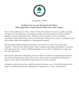

# **INTRODUCTION**

### **To plant a tree is to provide hope for the future. If the right choice is made, then the future has a better chance.**

Since its first publication in 1961, "Trees for New Jersey Streets" has been a guide to planting the right tree in the right place. Developing a healthy and diversified tree resource includes planning, selection and maintenance. Planting a diverse number of species can help a community forest endure disease and insect infestation. The goal is to create a community forest that is both resilient and adaptable to a changing environment.

Serving municipalities throughout the State of New Jersey as well as New Jersey State Agencies, "Trees for New Jersey Streets" offers a means of providing information on selecting trees appropriate for a variety of different planting sites in order to maintain tree canopy and provide reforestation.

We hope this publication will guide you in your effort to continue to maintain and expand the tree canopy throughout the State of New Jersey. Please keep in mind that this publication is merely a guide and certainly NOT an all inclusive list for tree selection.

A properly selected tree, given a suitable location and proper care, will outlive the person who plants it, benefiting people and communities for generations to come. Go plant trees!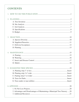# **CONTENTS**

| 3.                                                                         |
|----------------------------------------------------------------------------|
|                                                                            |
|                                                                            |
|                                                                            |
|                                                                            |
|                                                                            |
|                                                                            |
|                                                                            |
|                                                                            |
|                                                                            |
|                                                                            |
|                                                                            |
|                                                                            |
|                                                                            |
|                                                                            |
|                                                                            |
|                                                                            |
|                                                                            |
| 2. Advantages and Disadvantages of Maintaining a Municipal Tree Nursery 20 |
|                                                                            |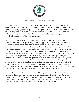

### **HOW TO USE THIS PUBLICATION**

"Trees for New Jersey Streets" was created as a guide to help Shade Tree Commissions, committees, and environmental groups choose the right tree for the right place within their communities. The purpose of this publication is to provide basic information and guidance with regard to the planning, selection, and maintenance involved in the planting of shade trees. The reader is encouraged to explore the links that are referenced throughout the publication for a more detailed discussion of the topics presented.

The species of trees listed in this publication are suggested trees. These lists are not all inclusive. Diversity of tree species helps a tree canopy to endure disease and insect infestation. The reader is encouraged to develop a relationship with several potential nursery growers/suppliers. Trees take time to produce. If a planting project is large, it will take time to either source or grow the desired material to a marketable size. Allowing time for harvesting is often more limiting than organizing volunteers for the project or hiring professionals for the installation. The reader is wise to have clear and frequent conversations with local growers even before they are in the position to make a specific purchase in any given year for specific programs. If a community adds new species to their preference lists, it is likely local growers may require additional time to develop growing/production methods in order to provide inventories of appropriately sized nursery stock in order to meet the needs of the municipality. Getting to know your growers and sharing tree selection preferences with them allows the producers to have a better understanding of the concerns and purchase interests of the consumer which can be utilized in developing inventory stocking plans at the nurseries.

In this sixth revision of "Trees for New Jersey Streets," we recognize that more information is available on the internet than we could ever provide in one single publication. Our goal is to provide an outline of critical steps to consider in any tree planting program, and then point you to quality additional resources to get you through the details. We hope you enjoy this new format, and wish you the best of luck in all your tree planting endeavors!

1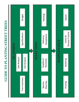**GUIDE TO PLANTING STREET TREES GUIDE TO PLANTING STREET TREES**

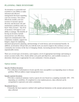### **PLANNING: TREE INVENTORY**

An inventory is a powerful tool essential to your ability to make informed and effective management decisions regarding your tree resource. You cannot effectively modify your tree resource to increase species diversity and decrease risk and maintenance problems until you know what you have. Any level of inventory will improve your ability to manage. The benefits of having an inventory include increased tree care efficiency, improved communication with community residents, support for budgets, targets for replanting,



informed and proactive planning, and knowledge of work history and environmental benefits. In addition, an inventory will provide you with the tools you need to improve the resilience of your community tree resource in the face of changing climate, increasing pressure from insect pests, and unpredictable storms.

There are several types of inventory; each requires a level of appropriate knowledge and training to ensure accurate results. First, clearly define your goals and objectives, and available resources, to determine which type is appropriate for your community's forestry program.

#### **Options include:**

#### Specific Problem Inventory

• For collection of information to locate specific trees susceptible to an impending insect or disease problem. Will not address major management issues.

#### Sample (partial) Inventory

• Provides a statistical summary (such as species & size) based on a sampling (normally 10% - 35% depending on variability). If completed in a true random process, data collected can be extrapolated to represent your entire community.

#### Windshield Survey

• Generally the least expensive method with significant limitations on the amount and precision of data collected.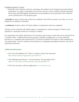#### Complete Inventory / Census

• Generally more expensive and time consuming, this method can be designed to provide detailed information on a range of parameters for each tree. Surveys can be overlaid with both municipal block maps and GIS mapping. Detailed lists and spreadsheets can be generated. Data collection can be customized for your program goals.

A **periodic** inventory will provide current tree conditions, but will lose accuracy over time, as it is not designed to be updated or amended.

A **continuous** inventory allows for future updates as maintenance tasks are completed.

All types can be collected with mobile inputs to comprehensive software programs. Details can be adjoined to a municipal website for viewing by residents.

It is important to be realistic about the level of inventory and accuracy of data that can be expected from a volunteer effort. Sophisticated inventory projects should be completed by, or at least under the direction of, a competent and experienced N.J. Licensed (Certified) Tree Expert or other qualified tree care professional. Look for someone with experience in completing municipal inventories, and ask for (and check) references.

#### **Additional information:**

- Tree City USA Bulletin #23 "How to Conduct a Street Tree Inventory" https://shop.arborday.org/product.aspx?zpid=723
- "Best Management Practices Tree Inventories"-Second edition 2013 http://www.isa-arbor.com/store/product.aspx?ProductID=137
- I-Tree free inventory software applications, www.itreetools.org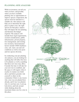### **PLANNING: SITE ANALYSIS**

While an inventory can tell you what you have, and possibly where you have available planting sites as opportunities to improve species composition, the species must be matched to a suitable site. Site analysis will help you to determine the right place to plant a tree, the right species for that place, matters that will impact the tree planting, and therefore the budget required. The analysis will include basic legal requirements, societal considerations, public infrastructure, private property, tree management, and existing tree inventory. Environmental factors include USDA hardiness zone, salt, water, sun and soil conditions as well as tree pests and tree species diversity.

In conducting your pre-planting site analysis, you are looking for anything that will affect the trees to be planted, as well as anything that these new trees may affect. Consider the time it will take for your new tree to establish, and the space it will require when it reaches its mature size (both above and below ground). Ask yourself or others in the community if there is any reason why a tree was not planted here already, and if one was planted, why it is not here now. Look up, look down, and look around while thinking about the maximum future size for a tree in this place.

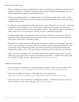#### **Remember the following:**

- Host a community meeting in neighborhoods where tree plantings are planned to determine local attitudes toward trees, compromise where necessary, educate regarding post planting care, and build enthusiasm and support for the planting project.
- Design your planting project to complement the site. Consider the shape of the crown and the seasonal interest when selecting species. Enhance and accent important views, screen and soften unsightly infrastructure.
- Consider the environmental factors that each species of tree will need to be successful. Plant trees compatible with the hardiness zone, soil and water conditions, sun exposure, environmental stresses, and pest pressures present at the planting location. Trees grown locally will generally be better suited to the local environment, and may be able to establish more quickly.
- Consider public safety. Avoid plantings that will obstruct visibility or clearance for vehicle or pedestrian traffic, present tripping hazards through surface root growth or excessive fruit drop, and interfere with electric (and other) utilities.
- Remember to consult with all the other groups and agencies within your municipality who play a role in your community tree resource. Plant in accordance with any municipal ordinances, your Community Forestry Management Plan, and with the support of your local government and department of public works. Plan for the future maintenance needs of the trees you will plant.
- Space your trees according to the surrounding infrastructure and their future mature size, and utilize New Jersey One-Call for mark-outs of underground utilities. Call Before You Dig! Dial 811 or 800-272-1000. It's free, and it's the law! http://www.nj1-call.org/

#### **Additional Information:**

- Site Assessment Considerations, Urban Horticulture Institute, Cornell University, Ithaca, NY http://woodyplants.cals.cornell.edu/collections/urbantrees/3b-site-assessment-guide.pdf
- Tree City USA Bulletin Number 4 "The Right Tree for the Right Place" https://www.arborday.org/programs/treecityusa/bulletins/documents/004-summary.pdf
- New Jersey One-Call for mark-outs of underground utilities. Call Before You Dig! Dial 811 or 800-272-1000. It's free, and it's the law! http://www.nj1-call.org/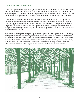### **PLANNING: SOIL ANALYSIS**

Tree survival, growth and lifespan are largely determined by the volume and quality of soil provided to the tree. The composition of street side soils varies a great deal from location to location even in the same municipality. The success of a street tree planting depends a lot on the soil into which the trees are planted, since the soil provides the reservoir for water and source of all mineral nutrition for the tree.

Tree roots need a balance of air and water in the soil. A thorough examination by an experienced plantsman of the soil observing its texture, drainage and relative availability to the tree of adequate water and oxygen is often sufficient for first estimates of soil suitability. A complete soil analysis is not generally necessary or practical, but some species of trees have specific pH requirements and an acidity/alkalinity test might be necessary. When surrounded by concrete, it is best to select tree species tolerant of elevated soil pH.

Replacement of existing soils with good top soil that is appropriate for the species of tree or amending existing soils with humic materials (organic matter) are two methods most usually used. Addition of soil elements or fertilizers is not generally recommended during planting or for the first year of growth. In any event, follow the recommendations of the nurseryman, a N.J. Licensed (Certified) Tree Expert, or other qualified tree care professional, but request documentation of diagnostic tests or specific deficiency symptoms which drive any recommendation for soil fertilization or amendment.

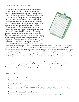### **PLANNING: SPECIFICATIONS**

Specifications are the specific details of the agreement between you and your nursery supplier and planting contractor. Specifications are important so that you have a written and agreed upon standard to hold your contractors to, and will give you the power you need to reject poor quality trees or tree work. Ideally, having thorough and detailed specifications will help to ensure that everyone involved is in agreement on the quality and scope of work expected so that disappointment and/or the need for rejection of stock or work can be avoided. However, occasionally bad things happen, and having specifications will give you control over the outcomes. Developing specifications can be fun if you are detail oriented and enjoy that kind of work, but it can also be very challenging. Regardless they are an essential component of any tree program. Developing mature Tree Purchase, Planting, and Maintenance Specifications will require purchaser decisions and preferences, keeping in mind that you may



have to make do with this year's available resources. You will also need to gain some familiarity with typical public-law-bidding-jargon in order to ensure that your specifications will require "the lowest qualified bidder" to conduct the tree purchase and planting process to the quality standards you expect. Each purchasing entity (Shade Tree Commission, etc.) has its own concept of how the purchasing process is applied. For example, local purchasing requirements may be more rigorous than a neighboring town, which may be more rigorous than an industry standard; all of which can impact the contract costs.

Tree specifications developed by qualified professionals in the industry relate to tree purchase and planting, planting soil, irrigation, tree protection, and nursery tree quality. In addition, your specifications should include guarantees and maintenance requirements. Talk to neighboring communities or other members of the NJ Shade Tree Federation to share ideas and advice.

#### **Additional Information:**

- International Society of Arboriculture: http://www.isa-arbor.com/education/onlineresources/cadplanningspecifications.aspx
- Urban Tree Foundation: http://www.urbantree.org/details\_specs.shtml http://www.treevitalize.net/Grant2013/Guideline%20Specs%20for%20Nursery%20Quality.pdf
- Wisconsin Department of Natural Resources: http://dnr.wi.gov/topic/urbanforests/documents/eabtoolbox/treeplantingguide.pdf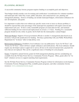### **PLANNING: BUDGET**

A successful community forestry program requires funding to accomplish goals and objectives.

Your budget should consider costs for training and certification / recertification for volunteer members and municipal staff, Arbor Day events, public education, and contracted tree care, planting and management planning. Sources of funding can include municipal budgets, reforestation ordinances for new developments, and grants.

It is important to realize that even without any specific storm event or insect or disease problem, it should be expected that some percentage of the municipal tree population will require removal and replacement each year. To have a truly sustainable program you must plan for this, and maintain sufficient funding for tree removal and replacement on at least a 1:1 basis. Funding for a sustainable program should not rely solely on grants, but be built into the municipality's annual budget.

Municipal Budget: Support of local government officials is needed. A management plan based on an inventory will provide justification for funding. Develop a partnership with your Public Works/Parks Department for "in-house" labor to help defray costs.

Reforestation Ordinances: Establish a local ordinance (see our publications "Laws for NJ Trees" and "Forms for NJ Trees" which will have sample ordinances and notifications). The local ordinance should require any developers (prior to approval) to survey all trees to be removed and provide a payment for trees that are not replaced. This can be a significant source of funding for your program.

Grants: Competitive annual forestry grants for both management planning and tree care/planting are available from the NJ State Forest Service, Community Forestry Program. Often, grants allow for "inkind" volunteer services to support matching fund requirements.

See the NJ State Forest Service, Community Forestry Program website for information on developing a Community Forestry Management Plan, available grants programs, and other community forestry resources: www.communityforestry.nj.gov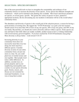## **SELECTION: SPECIES DIVERSITY**

One of the most powerful tools we have to strengthen the sustainability and resilience of our community forests is to increase the diversity of tree species. Every species has different strengths and weaknesses – which can be matched to the planting sites available. Most insect and disease predators are species, or at least genus, specific. The greater the variety of species we have, planted in appropriate locations, the less devastating any one incident or infestation will be to the overall urban / community forest.

The abundance and diversity of species is the overall goal of the selection process, a reason for having a good inventory of existing trees. We suggest the "10-20-30 diversity" as a goal; your tree resource should consist of no more than 10% of trees of any one species, 20% of any one genus, and 30% of any one family. Beyond that, you should also work to diversify cultivars within a species. Some species are rare and hard to find while others are readily available, another reason to have a working relationship with several nursery growers/suppliers. If you have reached the 10-20-30 benchmark, keep going! More diversity is always better – work toward 5-10-15!

Increasing diversity in your community forest does not necessarily mean that every tree along one street must be a different species. Consider diversity in terms of your entire community forest, not just one street at a time. Or, you could plant trees of similar texture and size together. Most people won't notice subtle differences. In addition, consider trees on private property and in your neighboring municipalities and counties in your species diversity goals. Storms, insects, and disease are not contained by municipal boundaries; we are wise to keep that in mind.

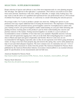# **SELECTION: SUPPLIERS/NURSERIES**

Proper selection of species and cultivars is one of the most important tasks in a tree planting program. The old adage "the right tree in the right place" is paramount. Poor choices can result in excess litter from seeds and fruit, interference with wires, lifting of sidewalks, or simply sickly looking trees. You may want to seek the advice of a qualified and experienced tree care professional such as a NJ Licensed (Certified) Tree Expert, an urban forester, or a university to consult with during the selection process.

On average it takes 3 to 5 years to produce a proper size street tree. Adding new species to your preference lists may require additional time in locating the desired trees. The importance of developing a relationship with your potential nursery grower/supplier cannot be overemphasized to achieve this goal. Getting to know your growers/suppliers enables understanding on your part while informing and guiding inventory stocking plans on the producer's part by better understanding the concerns and purchase interests of the market. Visiting nurseries/suppliers six months to a year in advance is recommended to ensure availability of trees that meet your standards. Reputable nurseries welcome visitors and will spend time tagging trees with you in the field. Harvesting/digging trees is typically done in March and April and again in September and October. However some trees are not recommended for fall digging (especially oaks) as they do not regenerate roots before going dormant in winter. As long as trees have been properly dug and stored in the spring, they can be safely planted any time of year (provided adequate irrigation). The most common sizes of community trees are 1 1/2 to 2 1/2 inches in caliper measured six inches from the ground. The American Standard for Nursery Stock published by the American Horticulture Industry Association (AmericanHort) is an essential reference guide for specifications on tree measurements and root ball sizes.

American Standard for Nursery Stock: http://americanhort.org/documents/ANSI\_Nursery\_Stock\_Standards\_AmericanHort\_2014.pdf

Nursery Stock Selection http://hort.ifas.ufl.edu/woody/selecting-trees.shtml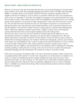# **SELECTION: DELIVERY/ACCEPTANCE**

Delivery of your trees is the part of the plan that often does not get much thought yet is the part where many mistakes can be made. Recommended shipping procedures for bare-root (BR), ball-and-burlap (B&B), or container grown stock should be followed. Deliveries should be scheduled with your supplier at the time of ordering or as far in advance as possible. If deliveries have to be postponed for some reason, it is important to verify that your supplier can properly water and maintain the trees until the new delivery times. Some nurseries may not have the capabilities to maintain trees for any extended period of time; therefore you may have to make arrangements to water and care for the trees on your site. The root ball must never be allowed to dry out. Just minutes of exposure to sun and wind will damage the fibrous roots. Specifications must include that fibrous roots are protected when trees are dug and shipped. A closed truck or trailer must have cooling capacity to prevent heat buildup during transit. Open truck shipments should be protected by complete coverage with a mesh tarpaulin, securely fastened in the front to protect against rushing air from the moving truck. Once the trees arrive at your site, each tree should be carefully inspected for adherence to your specifications and nursery standards, and proper care must be taken to unload the trees. This may require supervision on your part or someone you have hired to oversee the delivery process. Keep in mind that most municipal employees and volunteers handle trees infrequently, and may not be trained in the proper care and handling of trees. Look for scrapes on the trunk and branches as well as cracked or loose root balls. Damaged trees often will be replaced by nurseries; another reason to have a relationship with your suppliers, and specifications in your planting contract. Equipment for unloading must have padding or other protective covering so the trees do not come in contact with metal parts potentially damaging the bark and branches. Be careful not to drop or crush the root ball.

If the trees are not going to be planted within a few days, the branches should be untied, and the trees set upright and kept well-watered. Cover the roots to keep them wet. In the absence of complete cover (such as a closed, cool building that protects against sunlight and wind), bury the roots in watersaturated wood chips, saw dust, shavings, etc. The trunks, leaves and branches should be sprayed to prevent wilting and reduce drying. For bare root plantings, dipping the roots in a loam or hydrogel slurry is a helpful way to protect from drying. These root protection precautions must be continued until the tree is planted.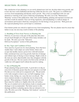# **SELECTION: PLANTING**

One satisfaction of tree planting is to see newly planted trees leaf out, develop robust twig growth, and to have the trees well established and thriving within the first few years. The goal is to establish fast recovery from transplanting and thereby renew growth. This is best accomplished with care and attention to watering in the year(s) following transplanting. We refer you to the "Maintenance: Watering" section of this publication. Only with careful handling, planting and repeated seasonal care can these results be attained. Trees are living organisms, and transplanting is a radical change of environment and location which has consequences for the biology of any given tree. With good care the expected planting losses can be kept to a minimum.

Four distinct points are critical to rapid recovery from transplanting. The tree planter must be aware that failure in any one area may result in failure of the planting:

#### **A. Handling of Trees from Nursery to Planting Site**

Delivery of your trees is the part of the plan that often does not get much thought yet is the part where many mistakes can be made. We refer you to the "Selection: Delivery/Acceptance" section of this publication.

#### **B. Size, Vigor and Condition of Trees**

Trees must be of good size for street planting. Trees that have smaller than 1 inch caliper are easily broken. Select and accept only healthy nursery-grown trees with full terminal buds, normal previous year twig growth, bark free of damage and without signs of drying or insect damage. Slight crooks in the stem are rarely objectionable since they disappear with the growth of the tree. The tree needs to be firm in the soil ball. A viable tree will support itself without the need for staking.

#### **C. Size of Planting Pit**

Proper planting brings good results. A good rule is to dig an extra foot of diameter greater than the root spread or root ball. Provide an even wider pit in compacted soils. The pit needs to be wide enough to remove any root ball wrappings (wire basket, twine, burlap, etc.) once the tree is in the pit. The most common mistake is to plant the tree too deep in the ground. When planting is finished, the first true root (root flare) must be visible at or slightly above the soil surface. The use of crushed rock in the bottom of pits to remedy poor drainage is not recommended. The better answer to this drainage problem is planting species that are tolerant to wet soils. We refer you to the "Planning: Soil Analysis" section of this publication.

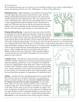#### **D. Seasonal Care**

We recommend seasonal care for at least two years including watering, insect control, replenishing of mulch, and pruning and refer you to the "Maintenance" sections of this publication.

**Planting Bare Root** - Depth of planting is very important. Correct placement is 2 inches higher than in the nursery to allow the tree to settle. Work the planting soil thoroughly between the roots by hand or with a stick having a smooth rounded end, and by shaking the tree. Take care to spread roots out evenly. Avoid tangled roots, which may later cause girdling of the root system or trunk. Tamping should be light to moderate in loam soil and heavier in sandy soil. Fill the hole with water to settle the soil around roots and assure sufficient water at time of planting in sandy well-drained locations. In loamy and clay soils with average to poor drainage, less water should be used.

**Planting Ball-and-Burlap** - Locate the first true roots in the root ball by loosening the top of the ball and using your fingers. Some trees may have several inches of soil above the first root. The best quality stock will have the first roots within 2 inches of the top of the ball. Do not dig the hole

deeper than the distance from the bottom of the root ball to the depth of the first root, it is wasted effort and will result in settling and deep planting. Once dug, place the tree in the hole and move it to its final position. Use a small amount of soil to brace the tree so it will not move. Use bolt cutters and a knife to remove any basket and burlap coverings for at least the top 2/3 to ¾ of the root ball. Backfill with soil, use water to help

work out any air pockets that have formed during the soil replacement process. When complete, the first root (root flare) needs to be at or slightly (within an inch) above final grade. Mulch should be added to cover the transition from root ball to surrounding soil, but not placed against the stem of the tree.

**Container Grown** – Once the tree is removed from the container, roots need to either be manually worked out to be sure they extend outward from the tree rather than spinning around the tree, or cut. An alternative is to backfill the pit, then use a digging spade to shave off the outer 2 inches of roots for large container stock (1 inch from a smaller container) to cut any potential girdling roots. It may be advisable to write root form specifications for the purchase of stock, and buy a few more than needed to use as inspection plants to verify the root system before acceptance of a large purchase of containerized stock.

**Staking** – A quality tree that is installed properly does not need staking. Bare root trees may be an exception when there is an expectation of people or animals leaning on the tree. *If a tree is staked it must have the staking removed in the year after transplanting.* For tree stakes, white cedar, 8 to 9 feet long, which last about 3 years, are the best. Common garden hose and wire binding is satisfactory to secure the tree to the stakes, but new types of tree ties now available are superior. All types, if neglected, may girdle the tree. One stake may be sufficient, but two stakes should be used if considerable buffeting is expected. Some arborists prefer iron posts as tree stakes. Include staking requirements, *and removal*, in your specifications and contract payment schedules.



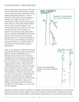# **MAINTENANCE: TREE PRUNING**

Trees are pruned for many reasons. To ensure that the work results in the desired outcome, no tree should be pruned without first clearly defining the pruning objectives. For the purposes of this guide, the most important objective is to reduce the risk of tree or branch failure while maintaining the natural form of the tree. Since many branch failures are the result of structural defects that develop when trees are young, the best way to reduce the risk of future failure is to improve tree structure starting shortly after the tree is planted. Depending on the species each tree may need to be reassessed and pruned again on a 2-5 year basis through the first 25 or more years. Pruning to promote a strong framework is a sound investment. It will reduce the need for more expensive pruning later.

Little, if any, pruning is needed at the time of planting other than removing dead or broken branches and the subordination of a codominant leader (if one exists). Since new transplants need as many leaves aspossible to provide energy for root and branch growth, there is no need to try to "balance the top to compensate for root loss." Once the tree is established the arborist should envision what the tree should look like at maturity. If the lower branches could eventually interfere with pedestrians, vehicles or structures, they may need to be removed or subordinated on the lower one-half of the tree. Temporary branches should be removed by the time they reach one inch in diameter. Removal of healthy live branches should be limited to less than 25% of the foliage so as not to slow tree development.



Pruning cuts should be made to minimize tree damage. This is done by positioning the cut just beyond the branch collar and slanted slightly away from the trunk at the bottom. The cut should not be made flush with the trunk or parent branch. Larger branches require three cuts to prevent bark from tearing.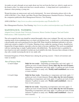An under-cut and a through cut are made about one foot out from the final cut, which is made next to the branch collar. Use sharp tools that leave smooth surfaces. A sharp hand tool is preferable to a chainsaw when pruning a young tree.

Wound dressings are unnecessary and can be detrimental. For more information please refer to the ANSI A300 Part 1-Tree, Shrub, and Other Woody Plant Maintenance-Standard Practices, Pruning and the companion publication Best Management Practices, Tree Pruning.

ANSI A300 Part 1: http://www.isa-arbor.com/store/product.aspx?ProductID=124

Best Management Practices, Tree Pruning: http://www.isa-arbor.com/store/product.aspx?ProductID=58

# **MAINTENANCE: WATERING**

Adapted from Colorado State University Extension, Master Gardner Program, Yard and Garden Publications, CMG GardenNotes #635

The soil occupied by the roots should be watered thoroughly when a tree is planted. The only way to know the watering needs of non-established trees is to check soil moisture levels. A useful tool is a soil moisture sensor; a decent quality unit can be purchased for less than \$100. Water should be distributed uniformly to all roots, which may extend to a depth of 12-18 inches. Watering of trees, unlike the watering of lawns, should be less frequent but of longer duration, especially as the tree starts to become established. This can be accomplished with tree watering bags or simple 5 gallon buckets with drilled holes. The attached chart is a guideline for trees based on size and is intended to include any local rainfall in the totals. Decrease these estimates in heavy clay soils; consider increasing the rate in very sandy soils.

Estimated Irrigation of Newly Planted trees (during the growing season) – Check soil moisture and water as needed:

| <b>Size of Nursery Stock</b> | <b>Irrigation Need for Vigor</b>                                                                                                                                                                                                                                                                                                       |
|------------------------------|----------------------------------------------------------------------------------------------------------------------------------------------------------------------------------------------------------------------------------------------------------------------------------------------------------------------------------------|
| $<$ 2 inch Caliper           | <b>Daily for two weeks</b> – Depending on temperature and wind, apply 1-2<br>gallons per inch of trunk diameter. Every other day for rest of season -<br>Depending on temperature and wind, apply 2-4 gallons per inch of trunk<br>diameter (5 gallons in sandy soil). Weekly until established (one to two<br>or more seasons).       |
| 2-4 inch Calipe              | <b>Daily for four weeks</b> - Depending on temperature and wind, apply 1-2<br>gallons per inch of trunk diameter. Every other day for rest of season -<br>Depending on temperature and wind, apply 2-4 gallons per inch of trunk<br>diameter (5 gallons in sandy soil). Weekly until established $-$ (two to<br>four or more seasons). |
| $>4$ inch Caliper            | <b>Daily for six weeks</b> - Depending on temperature and wind, apply 1-2<br>gallons per inch of trunk diameter. Every other day for rest of season –<br>Depending on temperature and wind, apply 2-4 gallons per inch of trunk<br>diameter (5 gallons in sandy soil). Weekly until established – (four or<br>more seasons).           |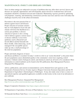# **MAINTENANCE: INSECT AND DISEASE CONTROL**

Trees in urban settings are subjected to an array of problems that may affect their survival. Insects and diseases are typically opportunistic and will frequently attack stressed or weakened trees (all recent transplants should be considered stressed and weakened). Maintaining vigorous growth by optimizing soil properties, watering, and minimizing construction activities near trees and tree roots will reduce the challenges faced by trees in the urban environment.

Prevention is the most practical line of defense against insects and diseases. Proper selection of resistant varieties that are well adapted to local soils and climate will lower the likelihood of a serious pest problem. A diverse selection of species is also a strong wall of defense against a serious insect or disease outbreak. Losses from epidemics such as Bacterial Leaf Scorch (BLS) and the Emerald Ash Borer (EAB), while distressing, can be managed if the susceptible species make up only a small percentage of the total tree population.

#### Proper and timely diagnosis of insect



and disease problems is essential. In today's world we refer to an "action threshold" as the point where the pest population causes diminished quality to the community's street trees requiring control measures. Cultural control, biological control, and chemical control are all tools to be considered. More information on control methods can be found in the ISA publication, Best Management Practices: Integrated Pest Management.

Advice, publications, and current recommendations can be obtained from such agencies as the Cooperative Extension Service (County Agent or Rutgers University Extension Specialist) and the NJ Department of Agriculture's Entomologist or Pathologist. It may also make sense to have a source of specialized expertise and qualified applicators available on short notice in the event of an infestation or pest outbreak.

Best Management Practices: Integrated Pest Management: http://www.isa-arbor.com/store/product.aspx?ProductID=79

Rutgers Cooperative Extension: http://njaes.rutgers.edu/extension/

NJ Department of Agriculture, Division of Plant Industry: http://www.nj.gov/agriculture/divisions/pi/

NJ Emerald Ash Borer Task Force: www.emeraldashborer.nj.gov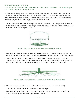### **MAINTENANCE: MULCH**

Used with permission: Tom Smiley, Ph.D. Bartlett Tree Research Laboratories - Bartlett Tree Expert Co., Technical Report, Mulching Guidelines

Mulches provide many benefits for trees and shrubs. They moderate soil temperatures, reduce soil moisture loss, reduce soil compaction, provide nutrients, improve soil structure, keep mowers and string trimmers away from the trunk. These benefits result in more root growth and healthier plants. When applying mulch the following guidelines should be observed:

1. The best mulch materials are wood chips, bark nuggets, composted leaves or pine needles. Plastic, stone, sawdust, finely shredded bark, and grass clippings should be avoided. Do not use redwood or walnut mulch due to allelopathic effects.



Figure 1. Mulch should be applied from the trunk to the dripline.

- 2. Mulch should be applied from the dripline to the trunk (Figure 1). If this is not practical, minimum mulch circle radii should be 3 feet for small trees, 8 feet for medium trees and 12 feet for large trees.
- 3. When applying mulch it is not necessary to kill or remove existing ground cover. However, turf should be mowed very short and clippings removed prior to application. Mulch should be applied directly to the soil surface, do not use landscape fabric to separate the mulch from the soil.



Figure 2. Mulch layer should be 2-4 inches thick and not be against the trunk.

- 4. Mulch layer should be 2-4 inches thick depending on tree species and mulch (Figure 2).
- 5. Additional mulch should be added to maintain a 2-4 inch depth.
- 6. Mulch should not be placed against the trunk (Figure 2). Mulch will retain too much moisture against the trunk, potentially resulting in disease problems.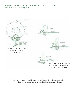### **SUGGESTED TREE SPECIES: SPECIAL PURPOSE TREES**

Also see insert in back cover pocket.

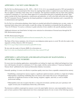### **APPENDIX 1: NO NET LOSS PROJECTS**

The No Net Loss Reforestation Act, P.L. 1993, c. 106 (C.13:1L-14.2), was originally passed in 1993 and amended in 2001 to help conserve forested land in New Jersey by requiring State entities to replant forest areas that they remove. The Act applies to land that a State entity owns or maintains. The legislation mandates that any State entity planning to deforest a minimum of .5 acre must obtain approval of a reforestation plan prior to beginning the project. State entities include all the State departments, commissions and authorities, as well as the State universities and colleges. The NJ Community Forestry Program has developed guidelines to implement this legislation and is responsible for its administration and regulation.

For No Net Loss reforestation plantings where funds are awarded and utilized for planting trees on state, county, or municipal lands along streets and in parks or park-like settings, the legislation recommends that this publication, "Trees for NJ Streets," be used as a reference to guide selection of trees suitable to the specific planting locations.

Additional references are listed below for help in tree selection for reforestation of forested areas through the NJ NNL Reforestation program.

NJ NNL Reforestation Program: http://www.state.nj.us/dep/parksandforests/forest/community/No\_Net\_Loss.htm

The State of New Jersey maintains a list of invasive non-indigenous plant species to avoid. We refer the reader to the Appendix to Policy Directive 2001-02 found at: http://www.nj.gov/dep/commissioner/policy/pdir2004-02.htm

We also refer the reader to Forestry BMPs for reforestation at: http://www.state.nj.us/dep/parksandforests/forest/nj\_bmp\_manual1995.pdf

### **APPENDIX 2: ADVANTAGES AND DISADVANTAGES OF MAINTAINING A MUNICIPAL TREE NURSERY**

For most street tree planting applications, municipalities are looking for single stem, balled and burlaped tree form trees with branches elevated to a minimum of 4.5' that comply with the current edition of "American Standard for Nursery Stock" published by the American Horticulture Industry Association.

Generally speaking, it is more cost effective to purchase quality street trees from a reputable commercial tree nursery.

- Establishing a municipal tree nursery requires a significant capital investment, and there is a high risk of failure.
- Municipalities considering establishing their own nursery must realize that success will depend upon dedication of significant resources in land, fencing, irrigation, supplies, and stock, as well as reliable professional staffing.
- Municipalities must also recognize that this is a long-term investment, and that each year's purchases will require several years of maintenance before they yield returns.

The decision to stablish a municipal tree nursery is not to be made lightly; however, some municipalities choose to grow at least a portion of their replacement trees from a municipal nursery for one or more of the following reasons: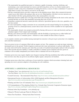- The municipality has qualified personnel or volunteers capable of pruning, watering, fertilizing, and maintaining a year round municipal tree nursery and delivering those services in a timely manner and is prepared to make a long term commitment in making the nursery a success. It takes a minimum 3-5 years for a whip (liner) to reach a size where it can survive on the street.
- Having a municipal nursery provides a jump start on the planting season. Quite often commercial nurseries cannot access their fields in the spring as they are too wet. Municipalities with their own tree nurseries are often finished with their spring planting before other municipalities even start.
- Municipal nurseries enable trees to be dug in the field in the morning and planted on the street on the same day insuring that they are fresh, thus potentially increasing their rate of survival.
- Sometimes commercial nurseries cannot provide a desired or specialized species in the sizes, quantities, or at the time needed.
- In some municipalities, budget constraints do not consistently provide annual funding for tree planting. The growing of trees in a municipal nursery assures that at least some trees will be available for tree replacement each year.
- The municipality already owns property protected by fencing with access to water and electricity and has an abundant supply of leaf compost and woodchips.
- Having a tree nursery provides each municipality with the flexibility of growing trees as either balled and burlaped, bare root, or container grown - whichever is more suitable for their choice of species.

A very popular container grown method among municipal tree nurseries is the pot-in-pot system due to its simplicity and controlled maintenance.

Trees are grown in rows of containers filled with an organic soil mix. The containers are sunk into larger stationary (permanent) pots in the ground. Trickle irrigation systems provide water and nutrients to each pot individually. Trees are easily removed from the stationary pots when they are ready to be planted and promptly replaced with new potted liners. Root growth and stem stability is readily controlled in container grown situations and trees grown in containers can be readily transplanted year round as there is minimal root loss in the process.

Container grown trees may require slightly more frequent watering following installation than balled and burlaped or bare root trees since they are grown in an artificial, highly organic, and porous soil medium.

Container grown trees often form a solid mass of roots inside the container which necessitates trimming back and spreading out roots to promote adaption to the planting site soil conditions.

#### **APPENDIX 3: ADDITIONAL RESOURCES**

- "Northern Trees" tree selection tool: http://lyra.ifas.ufl.edu/NorthernTrees/ Tree Fact Sheets: http://hort.ifas.ufl.edu/database/trees/trees\_scientific.shtml
- Cornell University Recommended Urban Trees: http://www.hort.cornell.edu/uhi/outreach/recurbtree/
- International Society of Arboriculture (ISA) ANSI Standards and Best Management Practices: http://www.isa-arbor.com/store/product.aspx?ProductID=121
- Planting and After Care of Community Trees: http://extension.psu.edu/publications/uh143
- 10 Commandments of Tree planting, Robert Cox, Colorado State University Cooperative Extension Agent: http://www.colostate.edu/Dept/CoopExt/4dmg/Trees/command.htm
- National Arbor Day Foundation, www.arborday.org
- Manual of Woody Landscape Plants by Michael A. Dirr
- Street Tree Factsheets Pennsylvania State University